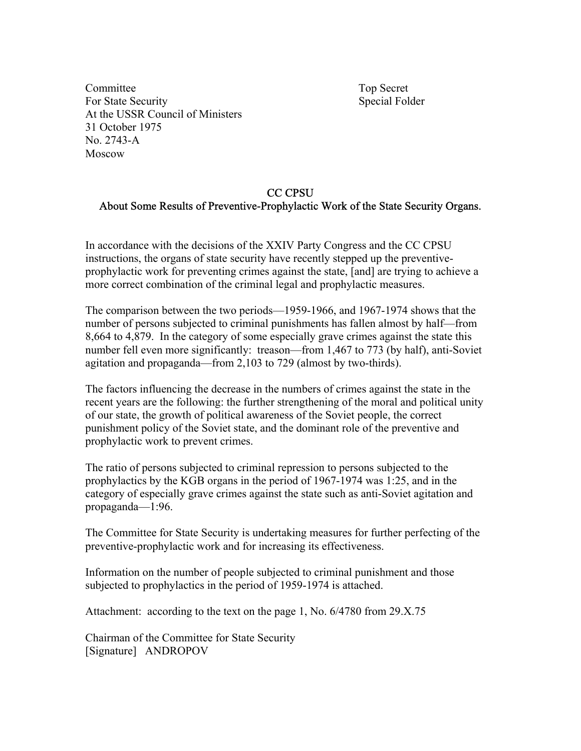Committee Top Secret For State Security Special Folder At the USSR Council of Ministers 31 October 1975 No. 2743-A Moscow

## CC CPSU About Some Results of Preventive-Prophylactic Work of the State Security Organs.

In accordance with the decisions of the XXIV Party Congress and the CC CPSU instructions, the organs of state security have recently stepped up the preventiveprophylactic work for preventing crimes against the state, [and] are trying to achieve a more correct combination of the criminal legal and prophylactic measures.

The comparison between the two periods—1959-1966, and 1967-1974 shows that the number of persons subjected to criminal punishments has fallen almost by half—from 8,664 to 4,879. In the category of some especially grave crimes against the state this number fell even more significantly: treason—from 1,467 to 773 (by half), anti-Soviet agitation and propaganda—from 2,103 to 729 (almost by two-thirds).

The factors influencing the decrease in the numbers of crimes against the state in the recent years are the following: the further strengthening of the moral and political unity of our state, the growth of political awareness of the Soviet people, the correct punishment policy of the Soviet state, and the dominant role of the preventive and prophylactic work to prevent crimes.

The ratio of persons subjected to criminal repression to persons subjected to the prophylactics by the KGB organs in the period of 1967-1974 was 1:25, and in the category of especially grave crimes against the state such as anti-Soviet agitation and propaganda—1:96.

The Committee for State Security is undertaking measures for further perfecting of the preventive-prophylactic work and for increasing its effectiveness.

Information on the number of people subjected to criminal punishment and those subjected to prophylactics in the period of 1959-1974 is attached.

Attachment: according to the text on the page 1, No. 6/4780 from 29.X.75

Chairman of the Committee for State Security [Signature] ANDROPOV